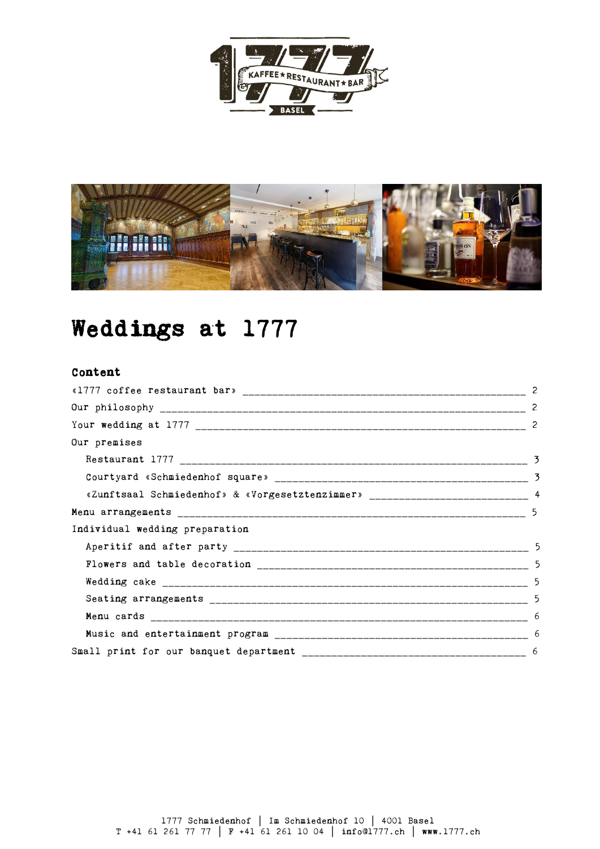



# Weddings at 1777

# Content

|                                                                                  | 2   |
|----------------------------------------------------------------------------------|-----|
|                                                                                  |     |
|                                                                                  | -2  |
| Our premises                                                                     |     |
|                                                                                  |     |
|                                                                                  |     |
| «Zunftsaal Schmiedenhof» & «Vorgesetztenzimmer» ________________________________ | - 4 |
|                                                                                  |     |
| Individual wedding preparation                                                   |     |
|                                                                                  | 5   |
|                                                                                  | -5  |
|                                                                                  |     |
|                                                                                  |     |
|                                                                                  |     |
|                                                                                  | -6  |
|                                                                                  |     |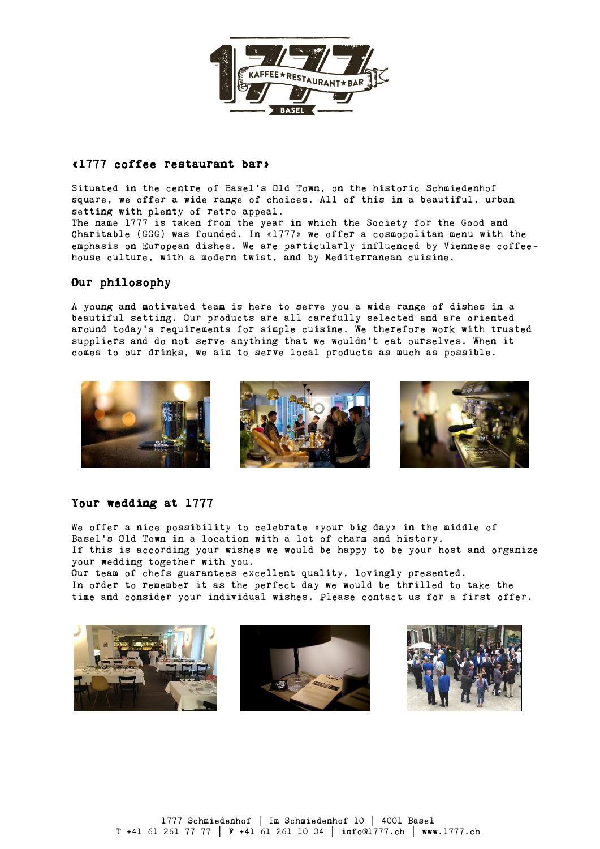

# «1777 coffee restaurant bar»

Situated in the centre of Basel's Old Town, on the historic Schmiedenhof square, we offer a wide range of choices. All of this in a beautiful, urban setting with plenty of retro appeal. The name 1777 is taken from the year in which the Society for the Good and Charitable (GGG) was founded. In «1777» we offer a cosmopolitan menu with the emphasis on European dishes. We are particularly influenced by Viennese coffee-

house culture, with a modern twist, and by Mediterranean cuisine.

# Our philosophy

A young and motivated team is here to serve you a wide range of dishes in a beautiful setting. Our products are all carefully selected and are oriented around today's requirements for simple cuisine. We therefore work with trusted suppliers and do not serve anything that we wouldn't eat ourselves. When it comes to our drinks, we aim to serve local products as much as possible.



# Your wedding at 1777

We offer a nice possibility to celebrate «your big day» in the middle of Basel's Old Town in a location with a lot of charm and history. If this is according your wishes we would be happy to be your host and organize your wedding together with you.

Our team of chefs guarantees excellent quality, lovingly presented. In order to remember it as the perfect day we would be thrilled to take the time and consider your individual wishes. Please contact us for a first offer.





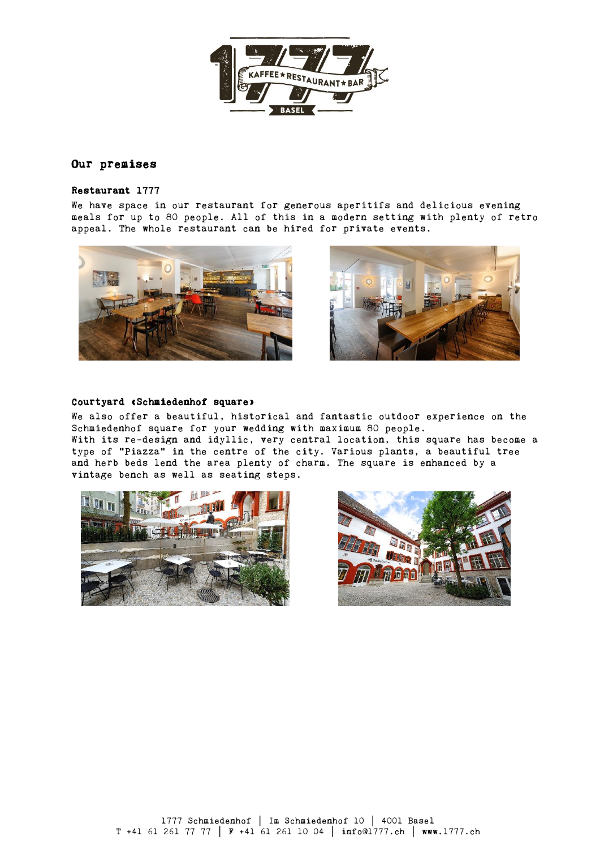

# Our premises

## Restaurant 1777

 We have space in our restaurant for generous aperitifs and delicious evening meals for up to 80 people. All of this in a modern setting with plenty of retro appeal. The whole restaurant can be hired for private events.





## Courtyard «Schmiedenhof square»

 We also offer a beautiful, historical and fantastic outdoor experience on the Schmiedenhof square for your wedding with maximum 80 people. With its re-design and idyllic, very central location, this square has become a type of "Piazza" in the centre of the city. Various plants, a beautiful tree and herb beds lend the area plenty of charm. The square is enhanced by a vintage bench as well as seating steps.



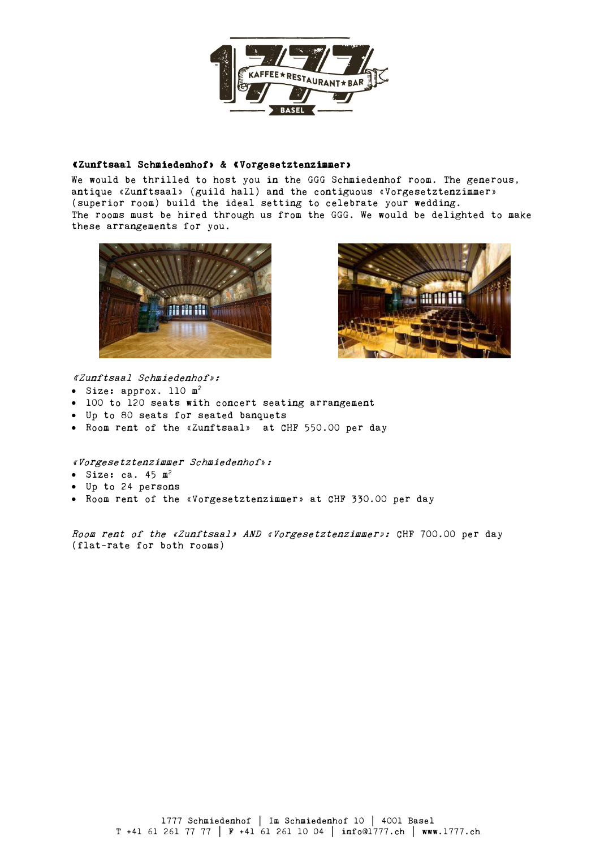

## «Zunftsaal Schmiedenhof» & «Vorgesetztenzimmer»

 We would be thrilled to host you in the GGG Schmiedenhof room. The generous, antique «Zunftsaal» (guild hall) and the contiguous «Vorgesetztenzimmer» (superior room) build the ideal setting to celebrate your wedding. The rooms must be hired through us from the GGG. We would be delighted to make these arrangements for you.





«Zunftsaal Schmiedenhof»:

- Size: approx. 110 m<sup>2</sup>
- 100 to 120 seats with concert seating arrangement
- Up to 80 seats for seated banquets
- Room rent of the «Zunftsaal» at CHF 550.00 per day

«Vorgesetztenzimmer Schmiedenhof»:

- $\bullet$  Size: ca. 45 m<sup>2</sup>
- Up to 24 persons
- Room rent of the «Vorgesetztenzimmer» at CHF 330.00 per day

Room rent of the «Zunftsaal» AND «Vorgesetztenzimmer»: CHF 700.00 per day (flat-rate for both rooms)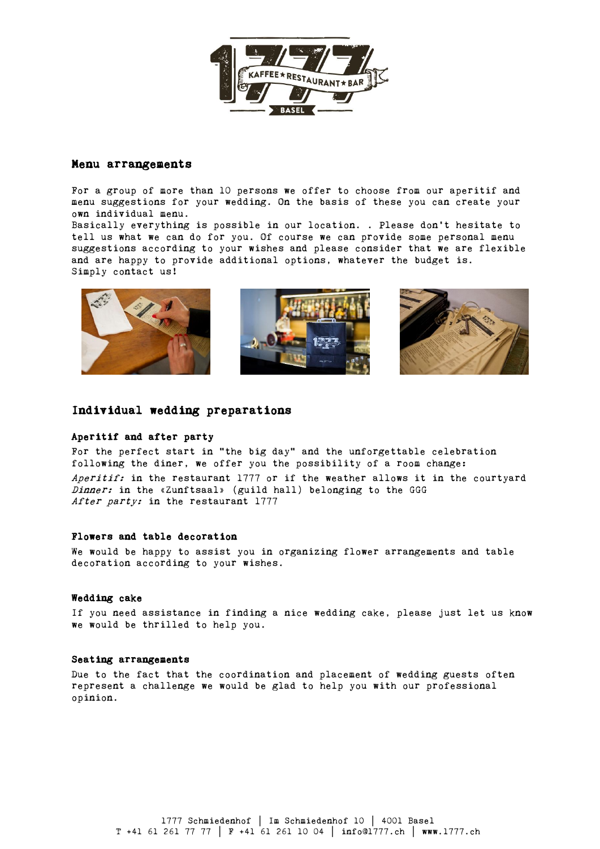

### Menu arrangements

For a group of more than 10 persons we offer to choose from our aperitif and menu suggestions for your wedding. On the basis of these you can create your own individual menu.

Basically everything is possible in our location. . Please don't hesitate to tell us what we can do for you. Of course we can provide some personal menu suggestions according to your wishes and please consider that we are flexible and are happy to provide additional options, whatever the budget is. Simply contact us!







## Individual wedding preparations

#### Aperitif and after party

For the perfect start in "the big day" and the unforgettable celebration following the diner, we offer you the possibility of a room change: Aperitif: in the restaurant  $1777$  or if the weather allows it in the courtyard Dinner: in the «Zunftsaal» (guild hall) belonging to the GGG After party: in the restaurant 1777

## Flowers and table decoration

We would be happy to assist you in organizing flower arrangements and table decoration according to your wishes.

#### Wedding cake

If you need assistance in finding a nice wedding cake, please just let us know we would be thrilled to help you.

#### Seating arrangements

Due to the fact that the coordination and placement of wedding guests often represent a challenge we would be glad to help you with our professional opinion.